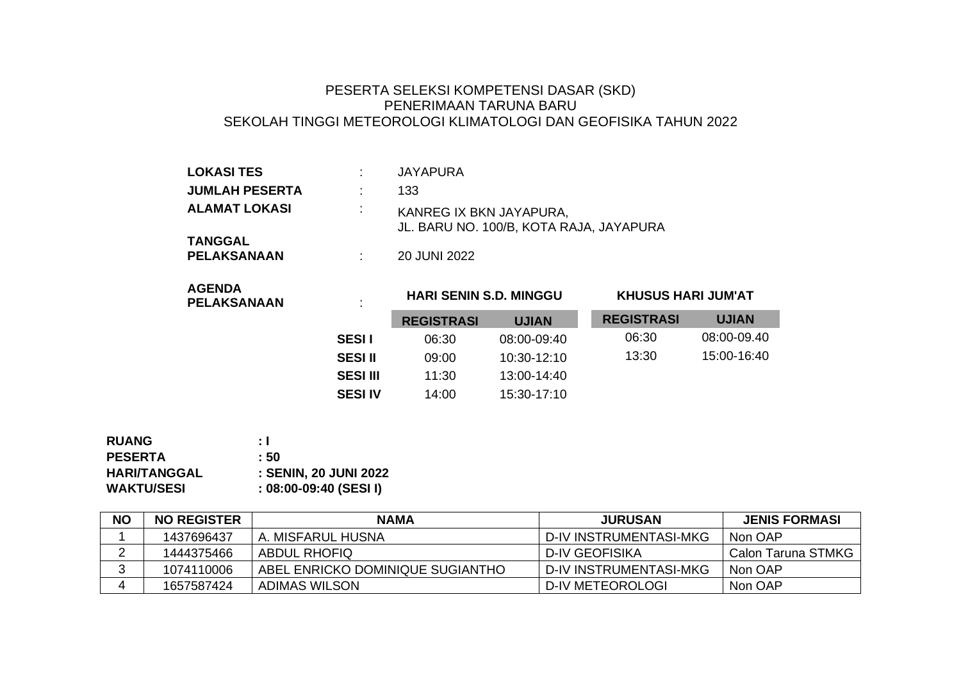## PESERTA SELEKSI KOMPETENSI DASAR (SKD) PENERIMAAN TARUNA BARU SEKOLAH TINGGI METEOROLOGI KLIMATOLOGI DAN GEOFISIKA TAHUN 2022

| <b>LOKASI TES</b>             |   | <b>JAYAPURA</b>                                                    |
|-------------------------------|---|--------------------------------------------------------------------|
| <b>JUMLAH PESERTA</b>         |   | 133                                                                |
| <b>ALAMAT LOKASI</b>          | ÷ | KANREG IX BKN JAYAPURA.<br>JL. BARU NO. 100/B, KOTA RAJA, JAYAPURA |
| <b>TANGGAL</b><br>PELAKSANAAN |   | 20 JUNI 2022                                                       |

| <b>AGENDA</b>      |  |
|--------------------|--|
| <b>PELAKSANAAN</b> |  |

## **HARI SENIN S.D. MINGGU KHUSUS HARI JUM'AT**

|                 | <b>REGISTRASI</b> | <b>UJIAN</b>  | <b>REGISTRASI</b> | <b>UJIAN</b> |
|-----------------|-------------------|---------------|-------------------|--------------|
| <b>SESI</b> I   | 06:30             | 08:00-09:40   | 06:30             | 08:00-09.40  |
| <b>SESI II</b>  | 09:00             | $10:30-12:10$ | 13:30             | 15:00-16:40  |
| <b>SESI III</b> | 11:30             | 13:00-14:40   |                   |              |
| <b>SESI IV</b>  | 14:00             | 15:30-17:10   |                   |              |

| <b>RUANG</b>        | ÷ I                          |
|---------------------|------------------------------|
| <b>PESERTA</b>      | $\pm 50$                     |
| <b>HARI/TANGGAL</b> | <b>: SENIN, 20 JUNI 2022</b> |
| <b>WAKTU/SESI</b>   | $: 08:00-09:40$ (SESI I)     |

| <b>NO</b> | <b>NO REGISTER</b> | <b>NAMA</b>                      | <b>JURUSAN</b>           | <b>JENIS FORMASI</b> |
|-----------|--------------------|----------------------------------|--------------------------|----------------------|
|           | 1437696437         | A. MISFARUL HUSNA                | D-IV INSTRUMENTASI-MKG   | Non OAP              |
|           | 1444375466         | ABDUL RHOFIQ                     | D-IV GEOFISIKA           | Calon Taruna STMKG   |
|           | 1074110006         | ABEL ENRICKO DOMINIQUE SUGIANTHO | I D-IV INSTRUMENTASI-MKG | Non OAP              |
|           | 1657587424         | ADIMAS WILSON                    | D-IV METEOROLOGI         | Non OAP              |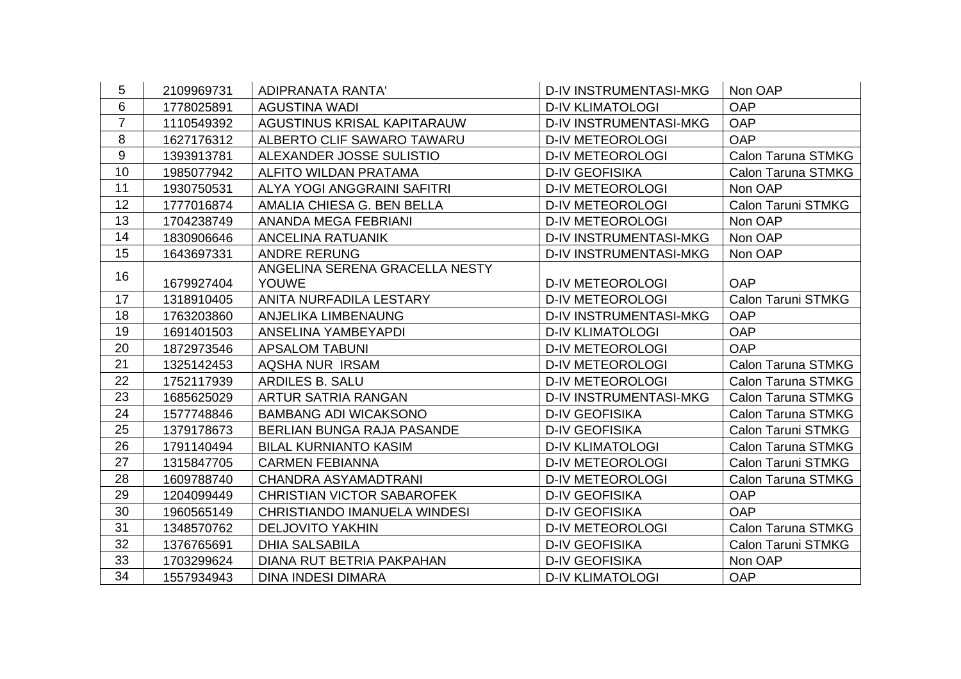| 5              | 2109969731 | <b>ADIPRANATA RANTA'</b>          | <b>D-IV INSTRUMENTASI-MKG</b> | Non OAP                   |
|----------------|------------|-----------------------------------|-------------------------------|---------------------------|
| 6              | 1778025891 | <b>AGUSTINA WADI</b>              | <b>D-IV KLIMATOLOGI</b>       | <b>OAP</b>                |
| $\overline{7}$ | 1110549392 | AGUSTINUS KRISAL KAPITARAUW       | <b>D-IV INSTRUMENTASI-MKG</b> | <b>OAP</b>                |
| 8              | 1627176312 | ALBERTO CLIF SAWARO TAWARU        | <b>D-IV METEOROLOGI</b>       | <b>OAP</b>                |
| 9              | 1393913781 | ALEXANDER JOSSE SULISTIO          | <b>D-IV METEOROLOGI</b>       | Calon Taruna STMKG        |
| 10             | 1985077942 | ALFITO WILDAN PRATAMA             | <b>D-IV GEOFISIKA</b>         | Calon Taruna STMKG        |
| 11             | 1930750531 | ALYA YOGI ANGGRAINI SAFITRI       | <b>D-IV METEOROLOGI</b>       | Non OAP                   |
| 12             | 1777016874 | AMALIA CHIESA G. BEN BELLA        | <b>D-IV METEOROLOGI</b>       | <b>Calon Taruni STMKG</b> |
| 13             | 1704238749 | <b>ANANDA MEGA FEBRIANI</b>       | <b>D-IV METEOROLOGI</b>       | Non OAP                   |
| 14             | 1830906646 | <b>ANCELINA RATUANIK</b>          | <b>D-IV INSTRUMENTASI-MKG</b> | Non OAP                   |
| 15             | 1643697331 | <b>ANDRE RERUNG</b>               | <b>D-IV INSTRUMENTASI-MKG</b> | Non OAP                   |
| 16             |            | ANGELINA SERENA GRACELLA NESTY    |                               |                           |
|                | 1679927404 | <b>YOUWE</b>                      | <b>D-IV METEOROLOGI</b>       | <b>OAP</b>                |
| 17             | 1318910405 | ANITA NURFADILA LESTARY           | <b>D-IV METEOROLOGI</b>       | Calon Taruni STMKG        |
| 18             | 1763203860 | ANJELIKA LIMBENAUNG               | <b>D-IV INSTRUMENTASI-MKG</b> | <b>OAP</b>                |
| 19             | 1691401503 | ANSELINA YAMBEYAPDI               | <b>D-IV KLIMATOLOGI</b>       | <b>OAP</b>                |
| 20             | 1872973546 | <b>APSALOM TABUNI</b>             | <b>D-IV METEOROLOGI</b>       | <b>OAP</b>                |
| 21             | 1325142453 | AQSHA NUR IRSAM                   | <b>D-IV METEOROLOGI</b>       | Calon Taruna STMKG        |
| 22             | 1752117939 | ARDILES B. SALU                   | <b>D-IV METEOROLOGI</b>       | Calon Taruna STMKG        |
| 23             | 1685625029 | ARTUR SATRIA RANGAN               | <b>D-IV INSTRUMENTASI-MKG</b> | <b>Calon Taruna STMKG</b> |
| 24             | 1577748846 | <b>BAMBANG ADI WICAKSONO</b>      | <b>D-IV GEOFISIKA</b>         | <b>Calon Taruna STMKG</b> |
| 25             | 1379178673 | BERLIAN BUNGA RAJA PASANDE        | <b>D-IV GEOFISIKA</b>         | <b>Calon Taruni STMKG</b> |
| 26             | 1791140494 | <b>BILAL KURNIANTO KASIM</b>      | <b>D-IV KLIMATOLOGI</b>       | Calon Taruna STMKG        |
| 27             | 1315847705 | <b>CARMEN FEBIANNA</b>            | <b>D-IV METEOROLOGI</b>       | <b>Calon Taruni STMKG</b> |
| 28             | 1609788740 | CHANDRA ASYAMADTRANI              | <b>D-IV METEOROLOGI</b>       | <b>Calon Taruna STMKG</b> |
| 29             | 1204099449 | <b>CHRISTIAN VICTOR SABAROFEK</b> | <b>D-IV GEOFISIKA</b>         | <b>OAP</b>                |
| 30             | 1960565149 | CHRISTIANDO IMANUELA WINDESI      | <b>D-IV GEOFISIKA</b>         | <b>OAP</b>                |
| 31             | 1348570762 | <b>DELJOVITO YAKHIN</b>           | <b>D-IV METEOROLOGI</b>       | Calon Taruna STMKG        |
| 32             | 1376765691 | <b>DHIA SALSABILA</b>             | <b>D-IV GEOFISIKA</b>         | <b>Calon Taruni STMKG</b> |
| 33             | 1703299624 | DIANA RUT BETRIA PAKPAHAN         | <b>D-IV GEOFISIKA</b>         | Non OAP                   |
| 34             | 1557934943 | <b>DINA INDESI DIMARA</b>         | <b>D-IV KLIMATOLOGI</b>       | <b>OAP</b>                |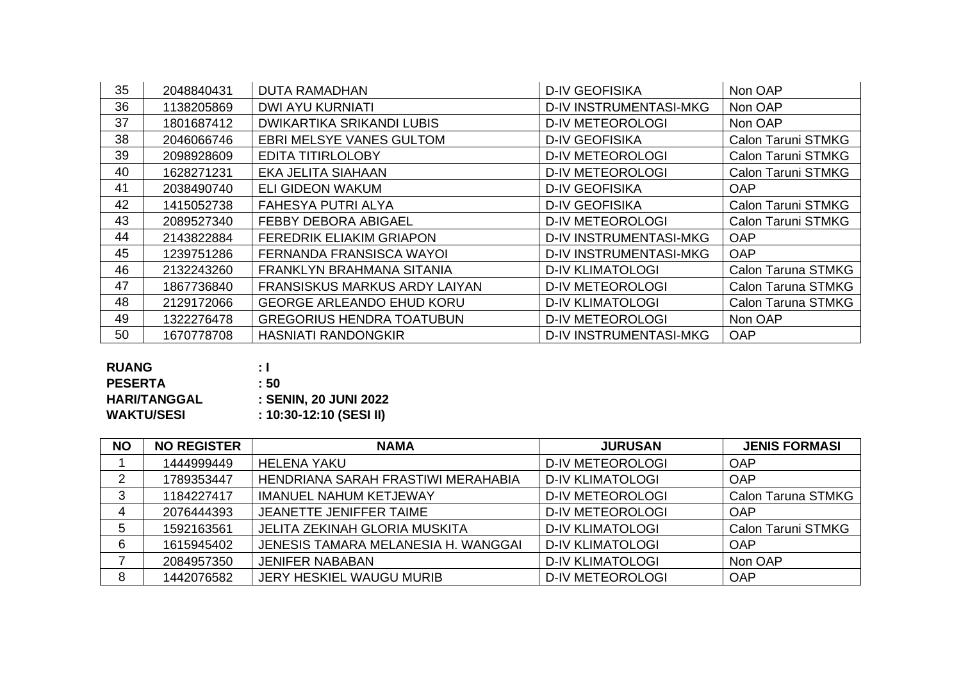| 35 | 2048840431 | <b>DUTA RAMADHAN</b>                 | <b>D-IV GEOFISIKA</b>         | Non OAP                   |
|----|------------|--------------------------------------|-------------------------------|---------------------------|
| 36 | 1138205869 | <b>DWI AYU KURNIATI</b>              | <b>D-IV INSTRUMENTASI-MKG</b> | Non OAP                   |
| 37 | 1801687412 | DWIKARTIKA SRIKANDI LUBIS            | <b>D-IV METEOROLOGI</b>       | Non OAP                   |
| 38 | 2046066746 | <b>EBRI MELSYE VANES GULTOM</b>      | <b>D-IV GEOFISIKA</b>         | <b>Calon Taruni STMKG</b> |
| 39 | 2098928609 | <b>EDITA TITIRLOLOBY</b>             | <b>D-IV METEOROLOGI</b>       | <b>Calon Taruni STMKG</b> |
| 40 | 1628271231 | <b>EKA JELITA SIAHAAN</b>            | <b>D-IV METEOROLOGI</b>       | <b>Calon Taruni STMKG</b> |
| 41 | 2038490740 | <b>ELI GIDEON WAKUM</b>              | <b>D-IV GEOFISIKA</b>         | <b>OAP</b>                |
| 42 | 1415052738 | <b>FAHESYA PUTRI ALYA</b>            | <b>D-IV GEOFISIKA</b>         | <b>Calon Taruni STMKG</b> |
| 43 | 2089527340 | <b>FEBBY DEBORA ABIGAEL</b>          | <b>D-IV METEOROLOGI</b>       | <b>Calon Taruni STMKG</b> |
| 44 | 2143822884 | <b>FEREDRIK ELIAKIM GRIAPON</b>      | <b>D-IV INSTRUMENTASI-MKG</b> | <b>OAP</b>                |
| 45 | 1239751286 | FERNANDA FRANSISCA WAYOI             | <b>D-IV INSTRUMENTASI-MKG</b> | <b>OAP</b>                |
| 46 | 2132243260 | FRANKLYN BRAHMANA SITANIA            | <b>D-IV KLIMATOLOGI</b>       | Calon Taruna STMKG        |
| 47 | 1867736840 | <b>FRANSISKUS MARKUS ARDY LAIYAN</b> | <b>D-IV METEOROLOGI</b>       | Calon Taruna STMKG        |
| 48 | 2129172066 | <b>GEORGE ARLEANDO EHUD KORU</b>     | <b>D-IV KLIMATOLOGI</b>       | Calon Taruna STMKG        |
| 49 | 1322276478 | <b>GREGORIUS HENDRA TOATUBUN</b>     | <b>D-IV METEOROLOGI</b>       | Non OAP                   |
| 50 | 1670778708 | <b>HASNIATI RANDONGKIR</b>           | <b>D-IV INSTRUMENTASI-MKG</b> | <b>OAP</b>                |

| ÷ I                     |
|-------------------------|
| : 50                    |
| : SENIN, 20 JUNI 2022   |
| : 10:30-12:10 (SESI II) |
|                         |

| <b>NO</b> | <b>NO REGISTER</b> | <b>NAMA</b>                         | <b>JURUSAN</b>          | <b>JENIS FORMASI</b>      |
|-----------|--------------------|-------------------------------------|-------------------------|---------------------------|
|           | 1444999449         | <b>HELENA YAKU</b>                  | <b>D-IV METEOROLOGI</b> | OAP                       |
| 2         | 1789353447         | HENDRIANA SARAH FRASTIWI MERAHABIA  | <b>D-IV KLIMATOLOGI</b> | <b>OAP</b>                |
| ີ         | 1184227417         | <b>IMANUEL NAHUM KETJEWAY</b>       | <b>D-IV METEOROLOGI</b> | <b>Calon Taruna STMKG</b> |
|           | 2076444393         | JEANETTE JENIFFER TAIME             | <b>D-IV METEOROLOGI</b> | <b>OAP</b>                |
| 5         | 1592163561         | JELITA ZEKINAH GLORIA MUSKITA       | <b>D-IV KLIMATOLOGI</b> | <b>Calon Taruni STMKG</b> |
| 6         | 1615945402         | JENESIS TAMARA MELANESIA H. WANGGAI | <b>D-IV KLIMATOLOGI</b> | OAP                       |
|           | 2084957350         | <b>JENIFER NABABAN</b>              | <b>D-IV KLIMATOLOGI</b> | Non OAP                   |
| 8         | 1442076582         | JERY HESKIEL WAUGU MURIB            | <b>D-IV METEOROLOGI</b> | <b>OAP</b>                |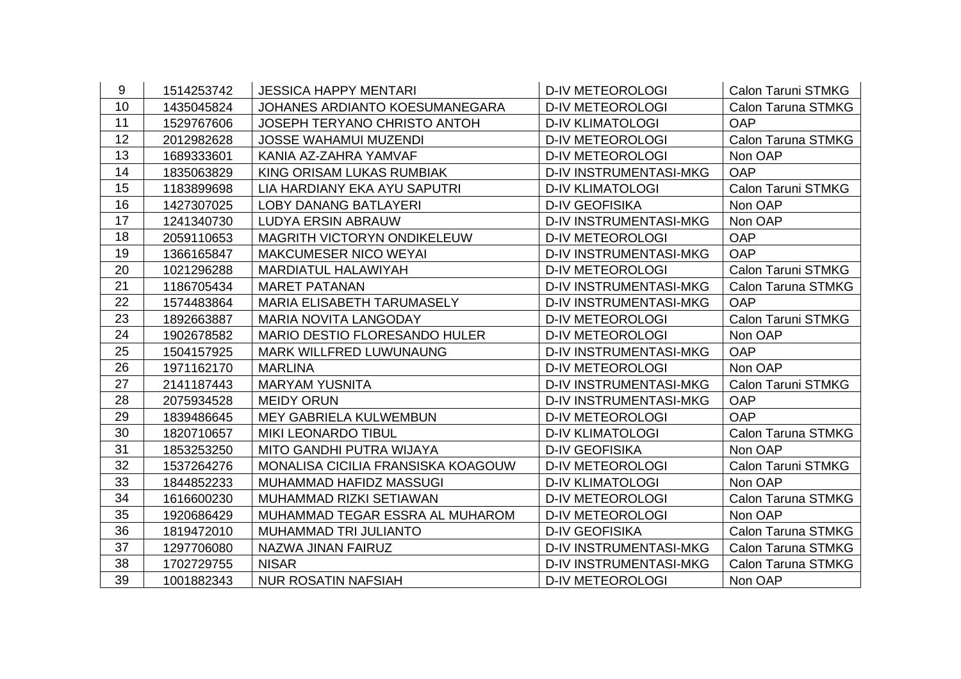| 9  | 1514253742 | <b>JESSICA HAPPY MENTARI</b>         | <b>D-IV METEOROLOGI</b>       | <b>Calon Taruni STMKG</b> |
|----|------------|--------------------------------------|-------------------------------|---------------------------|
| 10 | 1435045824 | JOHANES ARDIANTO KOESUMANEGARA       | <b>D-IV METEOROLOGI</b>       | Calon Taruna STMKG        |
| 11 | 1529767606 | <b>JOSEPH TERYANO CHRISTO ANTOH</b>  | <b>D-IV KLIMATOLOGI</b>       | <b>OAP</b>                |
| 12 | 2012982628 | <b>JOSSE WAHAMUI MUZENDI</b>         | <b>D-IV METEOROLOGI</b>       | <b>Calon Taruna STMKG</b> |
| 13 | 1689333601 | KANIA AZ-ZAHRA YAMVAF                | <b>D-IV METEOROLOGI</b>       | Non OAP                   |
| 14 | 1835063829 | KING ORISAM LUKAS RUMBIAK            | <b>D-IV INSTRUMENTASI-MKG</b> | <b>OAP</b>                |
| 15 | 1183899698 | LIA HARDIANY EKA AYU SAPUTRI         | <b>D-IV KLIMATOLOGI</b>       | <b>Calon Taruni STMKG</b> |
| 16 | 1427307025 | <b>LOBY DANANG BATLAYERI</b>         | <b>D-IV GEOFISIKA</b>         | Non OAP                   |
| 17 | 1241340730 | <b>LUDYA ERSIN ABRAUW</b>            | <b>D-IV INSTRUMENTASI-MKG</b> | Non OAP                   |
| 18 | 2059110653 | <b>MAGRITH VICTORYN ONDIKELEUW</b>   | <b>D-IV METEOROLOGI</b>       | <b>OAP</b>                |
| 19 | 1366165847 | <b>MAKCUMESER NICO WEYAI</b>         | <b>D-IV INSTRUMENTASI-MKG</b> | <b>OAP</b>                |
| 20 | 1021296288 | <b>MARDIATUL HALAWIYAH</b>           | <b>D-IV METEOROLOGI</b>       | <b>Calon Taruni STMKG</b> |
| 21 | 1186705434 | <b>MARET PATANAN</b>                 | D-IV INSTRUMENTASI-MKG        | Calon Taruna STMKG        |
| 22 | 1574483864 | MARIA ELISABETH TARUMASELY           | <b>D-IV INSTRUMENTASI-MKG</b> | <b>OAP</b>                |
| 23 | 1892663887 | <b>MARIA NOVITA LANGODAY</b>         | <b>D-IV METEOROLOGI</b>       | <b>Calon Taruni STMKG</b> |
| 24 | 1902678582 | <b>MARIO DESTIO FLORESANDO HULER</b> | <b>D-IV METEOROLOGI</b>       | Non OAP                   |
| 25 | 1504157925 | <b>MARK WILLFRED LUWUNAUNG</b>       | <b>D-IV INSTRUMENTASI-MKG</b> | <b>OAP</b>                |
| 26 | 1971162170 | <b>MARLINA</b>                       | <b>D-IV METEOROLOGI</b>       | Non OAP                   |
| 27 | 2141187443 | <b>MARYAM YUSNITA</b>                | <b>D-IV INSTRUMENTASI-MKG</b> | <b>Calon Taruni STMKG</b> |
| 28 | 2075934528 | <b>MEIDY ORUN</b>                    | <b>D-IV INSTRUMENTASI-MKG</b> | <b>OAP</b>                |
| 29 | 1839486645 | <b>MEY GABRIELA KULWEMBUN</b>        | <b>D-IV METEOROLOGI</b>       | <b>OAP</b>                |
| 30 | 1820710657 | <b>MIKI LEONARDO TIBUL</b>           | <b>D-IV KLIMATOLOGI</b>       | Calon Taruna STMKG        |
| 31 | 1853253250 | MITO GANDHI PUTRA WIJAYA             | <b>D-IV GEOFISIKA</b>         | Non OAP                   |
| 32 | 1537264276 | MONALISA CICILIA FRANSISKA KOAGOUW   | <b>D-IV METEOROLOGI</b>       | <b>Calon Taruni STMKG</b> |
| 33 | 1844852233 | MUHAMMAD HAFIDZ MASSUGI              | <b>D-IV KLIMATOLOGI</b>       | Non OAP                   |
| 34 | 1616600230 | MUHAMMAD RIZKI SETIAWAN              | <b>D-IV METEOROLOGI</b>       | Calon Taruna STMKG        |
| 35 | 1920686429 | MUHAMMAD TEGAR ESSRA AL MUHAROM      | <b>D-IV METEOROLOGI</b>       | Non OAP                   |
| 36 | 1819472010 | MUHAMMAD TRI JULIANTO                | <b>D-IV GEOFISIKA</b>         | Calon Taruna STMKG        |
| 37 | 1297706080 | NAZWA JINAN FAIRUZ                   | <b>D-IV INSTRUMENTASI-MKG</b> | Calon Taruna STMKG        |
| 38 | 1702729755 | <b>NISAR</b>                         | <b>D-IV INSTRUMENTASI-MKG</b> | Calon Taruna STMKG        |
| 39 | 1001882343 | <b>NUR ROSATIN NAFSIAH</b>           | <b>D-IV METEOROLOGI</b>       | Non OAP                   |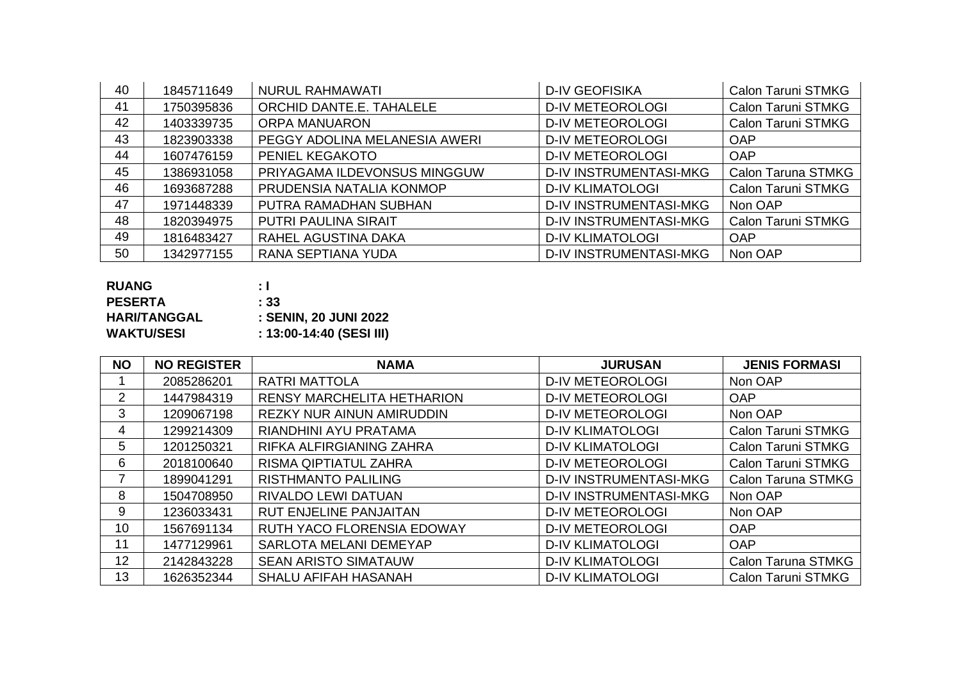| 40 | 1845711649 | <b>NURUL RAHMAWATI</b>        | <b>D-IV GEOFISIKA</b>         | Calon Taruni STMKG        |
|----|------------|-------------------------------|-------------------------------|---------------------------|
| 41 | 1750395836 | ORCHID DANTE.E. TAHALELE      | <b>D-IV METEOROLOGI</b>       | <b>Calon Taruni STMKG</b> |
| 42 | 1403339735 | <b>ORPA MANUARON</b>          | <b>D-IV METEOROLOGI</b>       | <b>Calon Taruni STMKG</b> |
| 43 | 1823903338 | PEGGY ADOLINA MELANESIA AWERI | <b>D-IV METEOROLOGI</b>       | <b>OAP</b>                |
| 44 | 1607476159 | PENIEL KEGAKOTO               | <b>D-IV METEOROLOGI</b>       | <b>OAP</b>                |
| 45 | 1386931058 | PRIYAGAMA ILDEVONSUS MINGGUW  | <b>D-IV INSTRUMENTASI-MKG</b> | <b>Calon Taruna STMKG</b> |
| 46 | 1693687288 | PRUDENSIA NATALIA KONMOP      | <b>D-IV KLIMATOLOGI</b>       | <b>Calon Taruni STMKG</b> |
| 47 | 1971448339 | PUTRA RAMADHAN SUBHAN         | <b>D-IV INSTRUMENTASI-MKG</b> | Non OAP                   |
| 48 | 1820394975 | <b>PUTRI PAULINA SIRAIT</b>   | <b>D-IV INSTRUMENTASI-MKG</b> | Calon Taruni STMKG        |
| 49 | 1816483427 | RAHEL AGUSTINA DAKA           | <b>D-IV KLIMATOLOGI</b>       | <b>OAP</b>                |
| 50 | 1342977155 | RANA SEPTIANA YUDA            | <b>D-IV INSTRUMENTASI-MKG</b> | Non OAP                   |

| <b>RUANG</b>        | : I                      |
|---------------------|--------------------------|
| <b>PESERTA</b>      | $\pm 33$                 |
| <b>HARI/TANGGAL</b> | : SENIN, 20 JUNI 2022    |
| <b>WAKTU/SESI</b>   | : 13:00-14:40 (SESI III) |

| <b>NO</b>      | <b>NO REGISTER</b> | <b>NAMA</b>                       | <b>JURUSAN</b>                | <b>JENIS FORMASI</b>      |
|----------------|--------------------|-----------------------------------|-------------------------------|---------------------------|
|                | 2085286201         | <b>RATRI MATTOLA</b>              | <b>D-IV METEOROLOGI</b>       | Non OAP                   |
| $\overline{2}$ | 1447984319         | <b>RENSY MARCHELITA HETHARION</b> | <b>D-IV METEOROLOGI</b>       | <b>OAP</b>                |
| 3              | 1209067198         | <b>REZKY NUR AINUN AMIRUDDIN</b>  | <b>D-IV METEOROLOGI</b>       | Non OAP                   |
| 4              | 1299214309         | RIANDHINI AYU PRATAMA             | <b>D-IV KLIMATOLOGI</b>       | Calon Taruni STMKG        |
| 5              | 1201250321         | RIFKA ALFIRGIANING ZAHRA          | <b>D-IV KLIMATOLOGI</b>       | Calon Taruni STMKG        |
| 6              | 2018100640         | <b>RISMA QIPTIATUL ZAHRA</b>      | <b>D-IV METEOROLOGI</b>       | <b>Calon Taruni STMKG</b> |
| 7              | 1899041291         | <b>RISTHMANTO PALILING</b>        | <b>D-IV INSTRUMENTASI-MKG</b> | Calon Taruna STMKG        |
| 8              | 1504708950         | RIVALDO LEWI DATUAN               | <b>D-IV INSTRUMENTASI-MKG</b> | Non OAP                   |
| 9              | 1236033431         | <b>RUT ENJELINE PANJAITAN</b>     | <b>D-IV METEOROLOGI</b>       | Non OAP                   |
| 10             | 1567691134         | RUTH YACO FLORENSIA EDOWAY        | <b>D-IV METEOROLOGI</b>       | <b>OAP</b>                |
| 11             | 1477129961         | SARLOTA MELANI DEMEYAP            | <b>D-IV KLIMATOLOGI</b>       | <b>OAP</b>                |
| 12             | 2142843228         | <b>SEAN ARISTO SIMATAUW</b>       | <b>D-IV KLIMATOLOGI</b>       | Calon Taruna STMKG        |
| 13             | 1626352344         | <b>SHALU AFIFAH HASANAH</b>       | <b>D-IV KLIMATOLOGI</b>       | <b>Calon Taruni STMKG</b> |